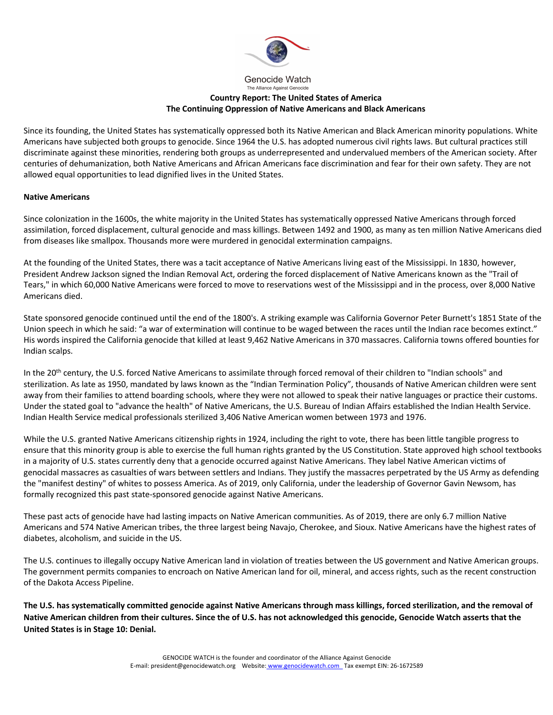

Genocide Watch The Alliance Against Genocide

## **Country Report: The United States of America The Continuing Oppression of Native Americans and Black Americans**

Since its founding, the United States has systematically oppressed both its Native American and Black American minority populations. White Americans have subjected both groups to genocide. Since 1964 the U.S. has adopted numerous civil rights laws. But cultural practices still discriminate against these minorities, rendering both groups as underrepresented and undervalued members of the American society. After centuries of dehumanization, both Native Americans and African Americans face discrimination and fear for their own safety. They are not allowed equal opportunities to lead dignified lives in the United States.

## **Native Americans**

Since colonization in the 1600s, the white majority in the United States has systematically oppressed Native Americans through forced assimilation, forced displacement, cultural genocide and mass killings. Between 1492 and 1900, as many as ten million Native Americans died from diseases like smallpox. Thousands more were murdered in genocidal extermination campaigns.

At the founding of the United States, there was a tacit acceptance of Native Americans living east of the Mississippi. In 1830, however, President Andrew Jackson signed the Indian Removal Act, ordering the forced displacement of Native Americans known as the "Trail of Tears," in which 60,000 Native Americans were forced to move to reservations west of the Mississippi and in the process, over 8,000 Native Americans died.

State sponsored genocide continued until the end of the 1800's. A striking example was California Governor Peter Burnett's 1851 State of the Union speech in which he said: "a war of extermination will continue to be waged between the races until the Indian race becomes extinct." His words inspired the California genocide that killed at least 9,462 Native Americans in 370 massacres. California towns offered bounties for Indian scalps.

In the 20<sup>th</sup> century, the U.S. forced Native Americans to assimilate through forced removal of their children to "Indian schools" and sterilization. As late as 1950, mandated by laws known as the "Indian Termination Policy", thousands of Native American children were sent away from their families to attend boarding schools, where they were not allowed to speak their native languages or practice their customs. Under the stated goal to "advance the health" of Native Americans, the U.S. Bureau of Indian Affairs established the Indian Health Service. Indian Health Service medical professionals sterilized 3,406 Native American women between 1973 and 1976.

While the U.S. granted Native Americans citizenship rights in 1924, including the right to vote, there has been little tangible progress to ensure that this minority group is able to exercise the full human rights granted by the US Constitution. State approved high school textbooks in a majority of U.S. states currently deny that a genocide occurred against Native Americans. They label Native American victims of genocidal massacres as casualties of wars between settlers and Indians. They justify the massacres perpetrated by the US Army as defending the "manifest destiny" of whites to possess America. As of 2019, only California, under the leadership of Governor Gavin Newsom, has formally recognized this past state-sponsored genocide against Native Americans.

These past acts of genocide have had lasting impacts on Native American communities. As of 2019, there are only 6.7 million Native Americans and 574 Native American tribes, the three largest being Navajo, Cherokee, and Sioux. Native Americans have the highest rates of diabetes, alcoholism, and suicide in the US.

The U.S. continues to illegally occupy Native American land in violation of treaties between the US government and Native American groups. The government permits companies to encroach on Native American land for oil, mineral, and access rights, such as the recent construction of the Dakota Access Pipeline.

**The U.S. has systematically committed genocide against Native Americans through mass killings, forced sterilization, and the removal of Native American children from their cultures. Since the of U.S. has not acknowledged this genocide, Genocide Watch asserts that the United States is in Stage 10: Denial.**